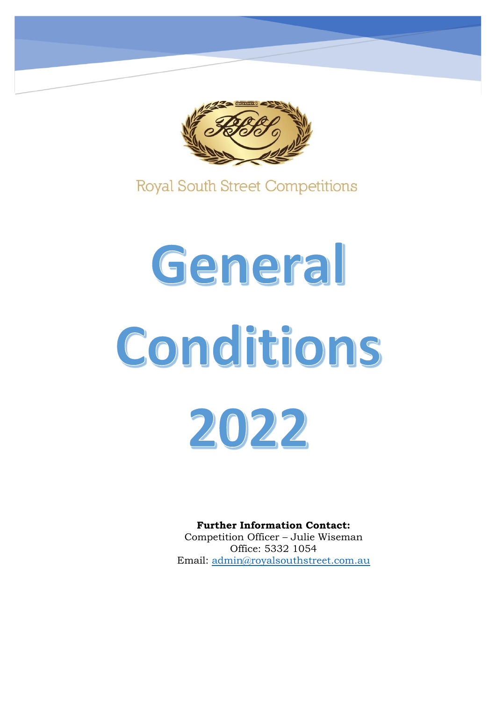

**Royal South Street Competitions** 

# General Conditions 2022

**Further Information Contact:** Competition Officer – Julie Wiseman Office: 5332 1054 Email: [admin@royalsouthstreet.com.au](mailto:admin@royalsouthstreet.com.au)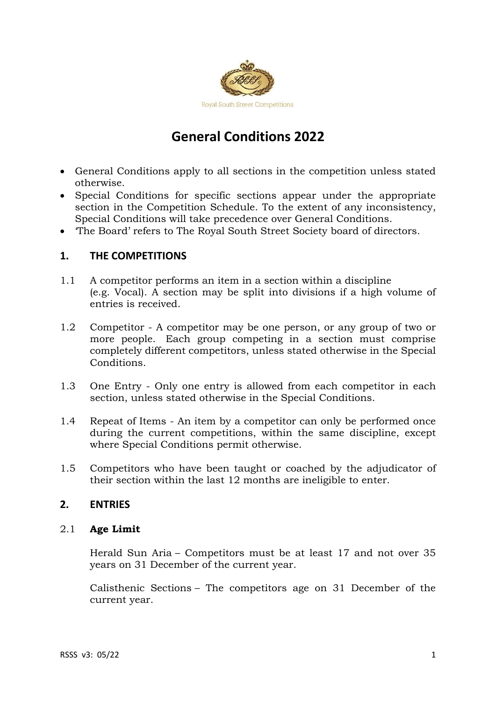

# **General Conditions 2022**

- General Conditions apply to all sections in the competition unless stated otherwise.
- Special Conditions for specific sections appear under the appropriate section in the Competition Schedule. To the extent of any inconsistency, Special Conditions will take precedence over General Conditions.
- 'The Board' refers to The Royal South Street Society board of directors.

# **1. THE COMPETITIONS**

- 1.1 A competitor performs an item in a section within a discipline (e.g. Vocal). A section may be split into divisions if a high volume of entries is received.
- 1.2 Competitor A competitor may be one person, or any group of two or more people. Each group competing in a section must comprise completely different competitors, unless stated otherwise in the Special **Conditions**
- 1.3 One Entry Only one entry is allowed from each competitor in each section, unless stated otherwise in the Special Conditions.
- 1.4 Repeat of Items An item by a competitor can only be performed once during the current competitions, within the same discipline, except where Special Conditions permit otherwise.
- 1.5 Competitors who have been taught or coached by the adjudicator of their section within the last 12 months are ineligible to enter.

# **2. ENTRIES**

#### 2.1 **Age Limit**

Herald Sun Aria – Competitors must be at least 17 and not over 35 years on 31 December of the current year.

Calisthenic Sections – The competitors age on 31 December of the current year.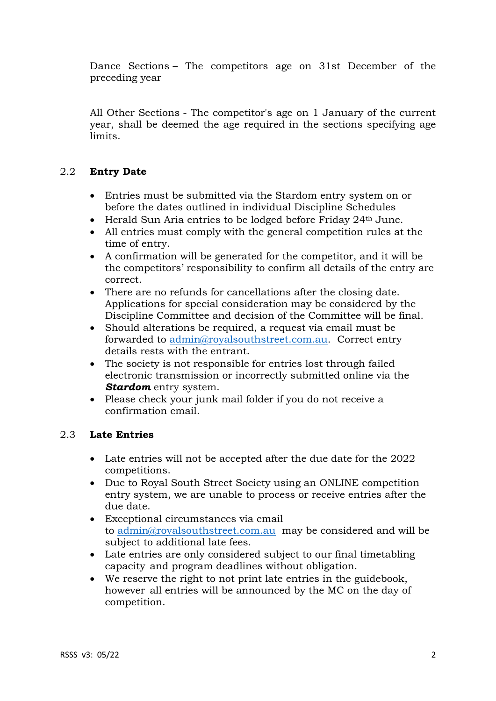Dance Sections – The competitors age on 31st December of the preceding year

All Other Sections - The competitor's age on 1 January of the current year, shall be deemed the age required in the sections specifying age limits.

# 2.2 **Entry Date**

- Entries must be submitted via the Stardom entry system on or before the dates outlined in individual Discipline Schedules
- Herald Sun Aria entries to be lodged before Friday 24th June.
- All entries must comply with the general competition rules at the time of entry.
- A confirmation will be generated for the competitor, and it will be the competitors' responsibility to confirm all details of the entry are correct.
- There are no refunds for cancellations after the closing date. Applications for special consideration may be considered by the Discipline Committee and decision of the Committee will be final.
- Should alterations be required, a request via email must be forwarded to [admin@royalsouthstreet.com.au.](mailto:admin@royalsouthstreet.com.au) Correct entry details rests with the entrant.
- The society is not responsible for entries lost through failed electronic transmission or incorrectly submitted online via the *Stardom* entry system.
- Please check your junk mail folder if you do not receive a confirmation email.

#### 2.3 **Late Entries**

- Late entries will not be accepted after the due date for the 2022 competitions.
- Due to Royal South Street Society using an ONLINE competition entry system, we are unable to process or receive entries after the due date.
- Exceptional circumstances via email to [admin@royalsouthstreet.com.au](mailto:admin@royalsouthstreet.com.au) may be considered and will be subject to additional late fees.
- Late entries are only considered subject to our final timetabling capacity and program deadlines without obligation.
- We reserve the right to not print late entries in the guidebook, however all entries will be announced by the MC on the day of competition.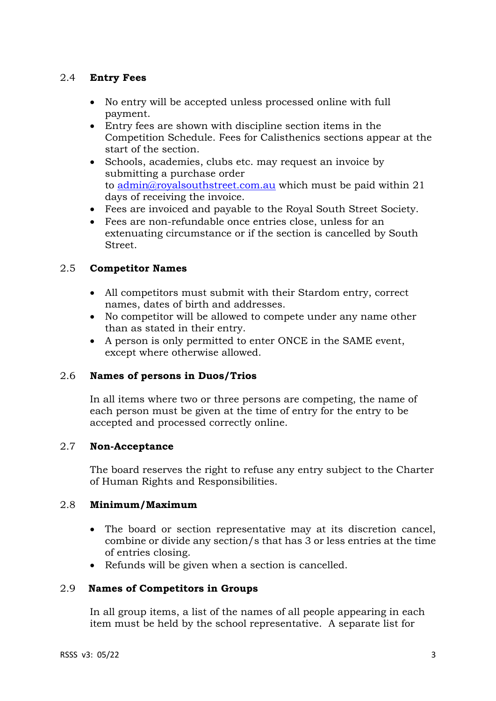# 2.4 **Entry Fees**

- No entry will be accepted unless processed online with full payment.
- Entry fees are shown with discipline section items in the Competition Schedule. Fees for Calisthenics sections appear at the start of the section.
- Schools, academies, clubs etc. may request an invoice by submitting a purchase order to [admin@royalsouthstreet.com.au](mailto:admin@royalsouthstreet.com.au) which must be paid within 21 days of receiving the invoice.
- Fees are invoiced and payable to the Royal South Street Society.
- Fees are non-refundable once entries close, unless for an extenuating circumstance or if the section is cancelled by South Street.

# 2.5 **Competitor Names**

- All competitors must submit with their Stardom entry, correct names, dates of birth and addresses.
- No competitor will be allowed to compete under any name other than as stated in their entry.
- A person is only permitted to enter ONCE in the SAME event, except where otherwise allowed.

# 2.6 **Names of persons in Duos/Trios**

In all items where two or three persons are competing, the name of each person must be given at the time of entry for the entry to be accepted and processed correctly online.

#### 2.7 **Non-Acceptance**

The board reserves the right to refuse any entry subject to the Charter of Human Rights and Responsibilities.

#### 2.8 **Minimum/Maximum**

- The board or section representative may at its discretion cancel, combine or divide any section/s that has 3 or less entries at the time of entries closing.
- Refunds will be given when a section is cancelled.

#### 2.9 **Names of Competitors in Groups**

In all group items, a list of the names of all people appearing in each item must be held by the school representative. A separate list for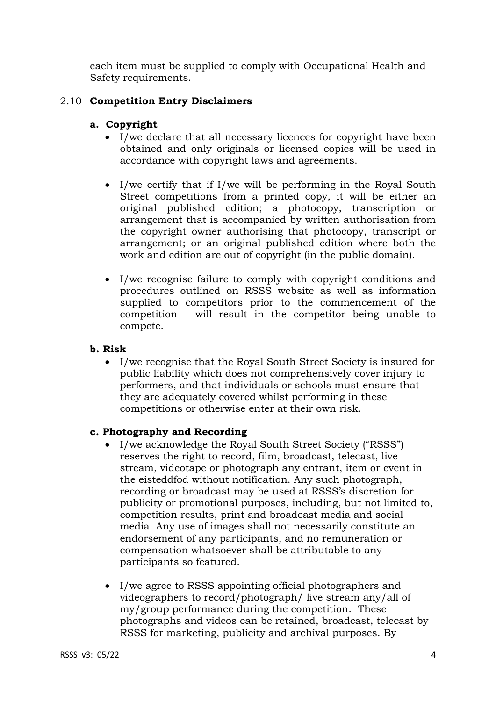each item must be supplied to comply with Occupational Health and Safety requirements.

# 2.10 **Competition Entry Disclaimers**

### **a. Copyright**

- I/we declare that all necessary licences for copyright have been obtained and only originals or licensed copies will be used in accordance with copyright laws and agreements.
- I/we certify that if I/we will be performing in the Royal South Street competitions from a printed copy, it will be either an original published edition; a photocopy, transcription or arrangement that is accompanied by written authorisation from the copyright owner authorising that photocopy, transcript or arrangement; or an original published edition where both the work and edition are out of copyright (in the public domain).
- I/we recognise failure to comply with copyright conditions and procedures outlined on RSSS website as well as information supplied to competitors prior to the commencement of the competition - will result in the competitor being unable to compete.

#### **b. Risk**

• I/we recognise that the Royal South Street Society is insured for public liability which does not comprehensively cover injury to performers, and that individuals or schools must ensure that they are adequately covered whilst performing in these competitions or otherwise enter at their own risk.

#### **c. Photography and Recording**

- I/we acknowledge the Royal South Street Society ("RSSS") reserves the right to record, film, broadcast, telecast, live stream, videotape or photograph any entrant, item or event in the eisteddfod without notification. Any such photograph, recording or broadcast may be used at RSSS's discretion for publicity or promotional purposes, including, but not limited to, competition results, print and broadcast media and social media. Any use of images shall not necessarily constitute an endorsement of any participants, and no remuneration or compensation whatsoever shall be attributable to any participants so featured.
- I/we agree to RSSS appointing official photographers and videographers to record/photograph/ live stream any/all of my/group performance during the competition. These photographs and videos can be retained, broadcast, telecast by RSSS for marketing, publicity and archival purposes. By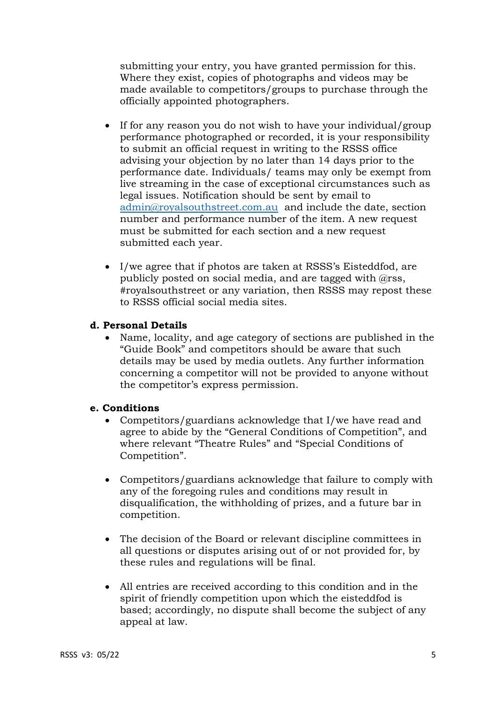submitting your entry, you have granted permission for this. Where they exist, copies of photographs and videos may be made available to competitors/groups to purchase through the officially appointed photographers.

- If for any reason you do not wish to have your individual/group performance photographed or recorded, it is your responsibility to submit an official request in writing to the RSSS office advising your objection by no later than 14 days prior to the performance date. Individuals/ teams may only be exempt from live streaming in the case of exceptional circumstances such as legal issues. Notification should be sent by email to [admin@royalsouthstreet.com.au](mailto:admin@royalsouthstreet.com.au) and include the date, section number and performance number of the item. A new request must be submitted for each section and a new request submitted each year.
- I/we agree that if photos are taken at RSSS's Eisteddfod, are publicly posted on social media, and are tagged with @rss, #royalsouthstreet or any variation, then RSSS may repost these to RSSS official social media sites.

#### **d. Personal Details**

• Name, locality, and age category of sections are published in the "Guide Book" and competitors should be aware that such details may be used by media outlets. Any further information concerning a competitor will not be provided to anyone without the competitor's express permission.

#### **e. Conditions**

- Competitors/guardians acknowledge that I/we have read and agree to abide by the "General Conditions of Competition", and where relevant "Theatre Rules" and "Special Conditions of Competition".
- Competitors/guardians acknowledge that failure to comply with any of the foregoing rules and conditions may result in disqualification, the withholding of prizes, and a future bar in competition.
- The decision of the Board or relevant discipline committees in all questions or disputes arising out of or not provided for, by these rules and regulations will be final.
- All entries are received according to this condition and in the spirit of friendly competition upon which the eisteddfod is based; accordingly, no dispute shall become the subject of any appeal at law.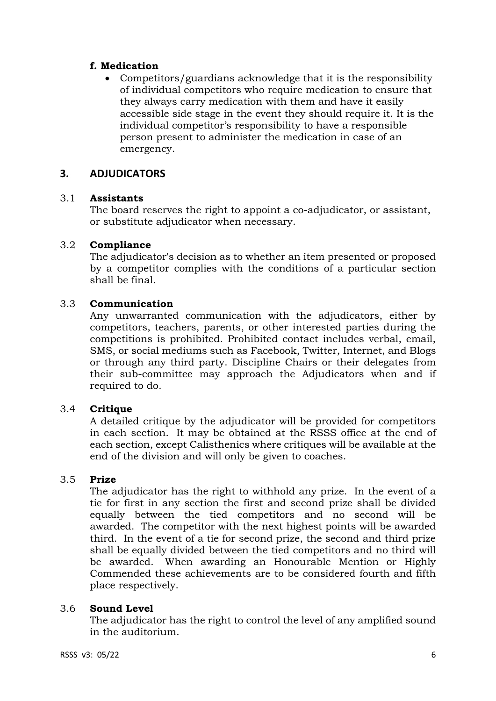# **f. Medication**

• Competitors/guardians acknowledge that it is the responsibility of individual competitors who require medication to ensure that they always carry medication with them and have it easily accessible side stage in the event they should require it. It is the individual competitor's responsibility to have a responsible person present to administer the medication in case of an emergency.

# **3. ADJUDICATORS**

#### 3.1 **Assistants**

The board reserves the right to appoint a co-adjudicator, or assistant, or substitute adjudicator when necessary.

#### 3.2 **Compliance**

The adjudicator's decision as to whether an item presented or proposed by a competitor complies with the conditions of a particular section shall be final.

#### 3.3 **Communication**

Any unwarranted communication with the adjudicators, either by competitors, teachers, parents, or other interested parties during the competitions is prohibited. Prohibited contact includes verbal, email, SMS, or social mediums such as Facebook, Twitter, Internet, and Blogs or through any third party. Discipline Chairs or their delegates from their sub-committee may approach the Adjudicators when and if required to do.

#### 3.4 **Critique**

A detailed critique by the adjudicator will be provided for competitors in each section. It may be obtained at the RSSS office at the end of each section, except Calisthenics where critiques will be available at the end of the division and will only be given to coaches.

#### 3.5 **Prize**

The adjudicator has the right to withhold any prize. In the event of a tie for first in any section the first and second prize shall be divided equally between the tied competitors and no second will be awarded. The competitor with the next highest points will be awarded third. In the event of a tie for second prize, the second and third prize shall be equally divided between the tied competitors and no third will be awarded. When awarding an Honourable Mention or Highly Commended these achievements are to be considered fourth and fifth place respectively.

#### 3.6 **Sound Level**

The adjudicator has the right to control the level of any amplified sound in the auditorium.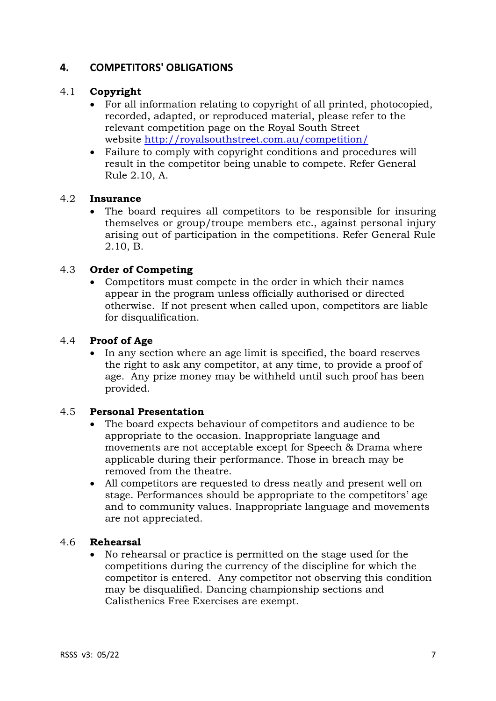# **4. COMPETITORS' OBLIGATIONS**

# 4.1 **Copyright**

- For all information relating to copyright of all printed, photocopied, recorded, adapted, or reproduced material, please refer to the relevant competition page on the Royal South Street website <http://royalsouthstreet.com.au/competition/>
- Failure to comply with copyright conditions and procedures will result in the competitor being unable to compete. Refer General Rule 2.10, A.

#### 4.2 **Insurance**

• The board requires all competitors to be responsible for insuring themselves or group/troupe members etc., against personal injury arising out of participation in the competitions. Refer General Rule 2.10, B.

#### 4.3 **Order of Competing**

• Competitors must compete in the order in which their names appear in the program unless officially authorised or directed otherwise. If not present when called upon, competitors are liable for disqualification.

#### 4.4 **Proof of Age**

• In any section where an age limit is specified, the board reserves the right to ask any competitor, at any time, to provide a proof of age. Any prize money may be withheld until such proof has been provided.

#### 4.5 **Personal Presentation**

- The board expects behaviour of competitors and audience to be appropriate to the occasion. Inappropriate language and movements are not acceptable except for Speech & Drama where applicable during their performance. Those in breach may be removed from the theatre.
- All competitors are requested to dress neatly and present well on stage. Performances should be appropriate to the competitors' age and to community values. Inappropriate language and movements are not appreciated.

# 4.6 **Rehearsal**

• No rehearsal or practice is permitted on the stage used for the competitions during the currency of the discipline for which the competitor is entered. Any competitor not observing this condition may be disqualified. Dancing championship sections and Calisthenics Free Exercises are exempt.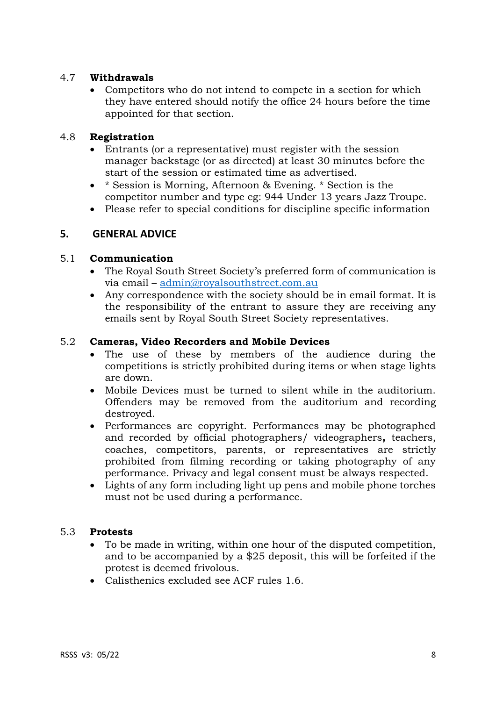#### 4.7 **Withdrawals**

• Competitors who do not intend to compete in a section for which they have entered should notify the office 24 hours before the time appointed for that section.

# 4.8 **Registration**

- Entrants (or a representative) must register with the session manager backstage (or as directed) at least 30 minutes before the start of the session or estimated time as advertised.
- \* Session is Morning, Afternoon & Evening. \* Section is the competitor number and type eg: 944 Under 13 years Jazz Troupe.
- Please refer to special conditions for discipline specific information

# **5. GENERAL ADVICE**

#### 5.1 **Communication**

- The Royal South Street Society's preferred form of communication is via email – [admin@royalsouthstreet.com.au](mailto:admin@royalsouthstreet.com.au)
- Any correspondence with the society should be in email format. It is the responsibility of the entrant to assure they are receiving any emails sent by Royal South Street Society representatives.

#### 5.2 **Cameras, Video Recorders and Mobile Devices**

- The use of these by members of the audience during the competitions is strictly prohibited during items or when stage lights are down.
- Mobile Devices must be turned to silent while in the auditorium. Offenders may be removed from the auditorium and recording destroyed.
- Performances are copyright. Performances may be photographed and recorded by official photographers/ videographers**,** teachers, coaches, competitors, parents, or representatives are strictly prohibited from filming recording or taking photography of any performance. Privacy and legal consent must be always respected.
- Lights of any form including light up pens and mobile phone torches must not be used during a performance.

#### 5.3 **Protests**

- To be made in writing, within one hour of the disputed competition, and to be accompanied by a \$25 deposit, this will be forfeited if the protest is deemed frivolous.
- Calisthenics excluded see ACF rules 1.6.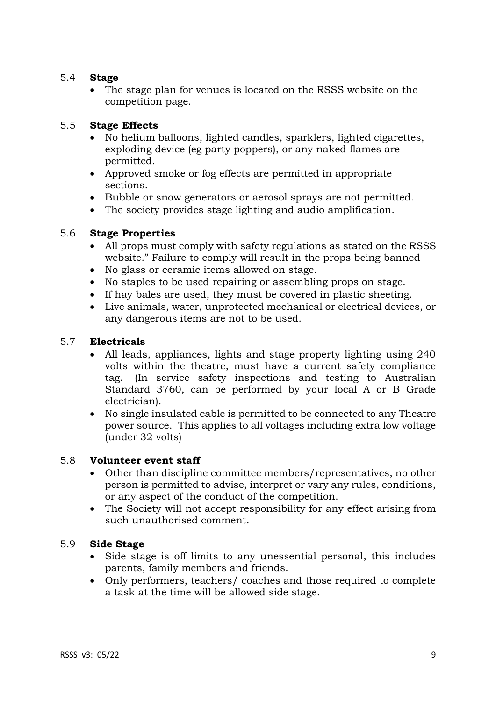### 5.4 **Stage**

• The stage plan for venues is located on the RSSS website on the competition page.

# 5.5 **Stage Effects**

- No helium balloons, lighted candles, sparklers, lighted cigarettes, exploding device (eg party poppers), or any naked flames are permitted.
- Approved smoke or fog effects are permitted in appropriate sections.
- Bubble or snow generators or aerosol sprays are not permitted.
- The society provides stage lighting and audio amplification.

#### 5.6 **Stage Properties**

- All props must comply with safety regulations as stated on the RSSS website." Failure to comply will result in the props being banned
- No glass or ceramic items allowed on stage.
- No staples to be used repairing or assembling props on stage.
- If hay bales are used, they must be covered in plastic sheeting.
- Live animals, water, unprotected mechanical or electrical devices, or any dangerous items are not to be used.

#### 5.7 **Electricals**

- All leads, appliances, lights and stage property lighting using 240 volts within the theatre, must have a current safety compliance tag. (In service safety inspections and testing to Australian Standard 3760, can be performed by your local A or B Grade electrician).
- No single insulated cable is permitted to be connected to any Theatre power source. This applies to all voltages including extra low voltage (under 32 volts)

#### 5.8 **Volunteer event staff**

- Other than discipline committee members/representatives, no other person is permitted to advise, interpret or vary any rules, conditions, or any aspect of the conduct of the competition.
- The Society will not accept responsibility for any effect arising from such unauthorised comment.

#### 5.9 **Side Stage**

- Side stage is off limits to any unessential personal, this includes parents, family members and friends.
- Only performers, teachers/ coaches and those required to complete a task at the time will be allowed side stage.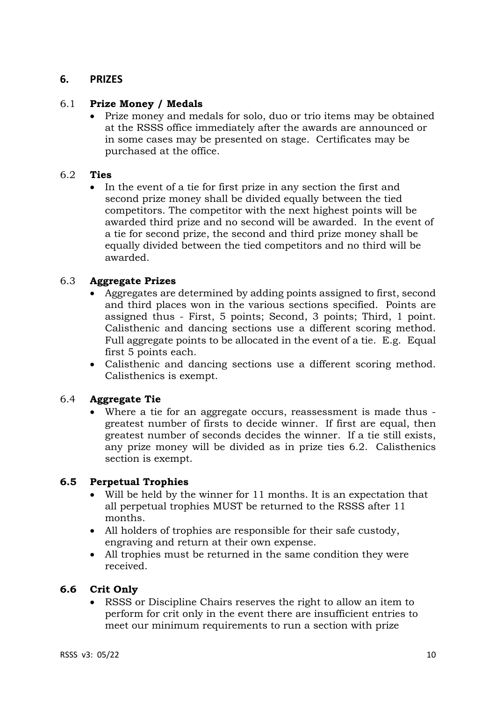# **6. PRIZES**

#### 6.1 **Prize Money / Medals**

• Prize money and medals for solo, duo or trio items may be obtained at the RSSS office immediately after the awards are announced or in some cases may be presented on stage. Certificates may be purchased at the office.

#### 6.2 **Ties**

• In the event of a tie for first prize in any section the first and second prize money shall be divided equally between the tied competitors. The competitor with the next highest points will be awarded third prize and no second will be awarded. In the event of a tie for second prize, the second and third prize money shall be equally divided between the tied competitors and no third will be awarded.

#### 6.3 **Aggregate Prizes**

- Aggregates are determined by adding points assigned to first, second and third places won in the various sections specified. Points are assigned thus - First, 5 points; Second, 3 points; Third, 1 point. Calisthenic and dancing sections use a different scoring method. Full aggregate points to be allocated in the event of a tie. E.g. Equal first 5 points each.
- Calisthenic and dancing sections use a different scoring method. Calisthenics is exempt.

#### 6.4 **Aggregate Tie**

• Where a tie for an aggregate occurs, reassessment is made thus greatest number of firsts to decide winner. If first are equal, then greatest number of seconds decides the winner. If a tie still exists, any prize money will be divided as in prize ties 6.2. Calisthenics section is exempt.

#### **6.5 Perpetual Trophies**

- Will be held by the winner for 11 months. It is an expectation that all perpetual trophies MUST be returned to the RSSS after 11 months.
- All holders of trophies are responsible for their safe custody, engraving and return at their own expense.
- All trophies must be returned in the same condition they were received.

#### **6.6 Crit Only**

• RSSS or Discipline Chairs reserves the right to allow an item to perform for crit only in the event there are insufficient entries to meet our minimum requirements to run a section with prize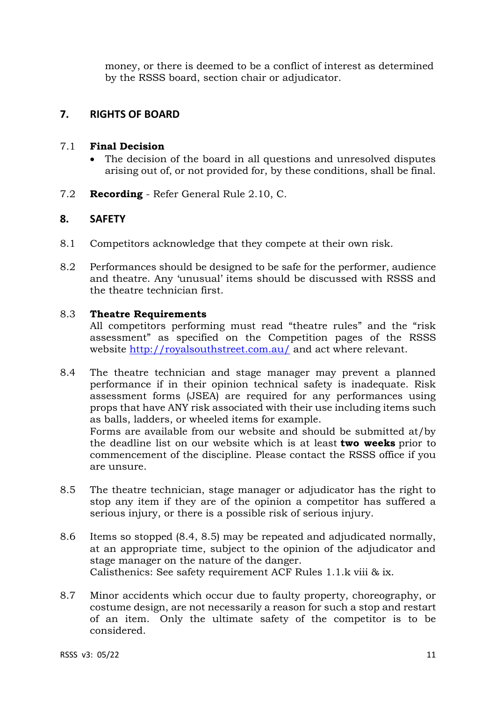money, or there is deemed to be a conflict of interest as determined by the RSSS board, section chair or adjudicator.

# **7. RIGHTS OF BOARD**

#### 7.1 **Final Decision**

- The decision of the board in all questions and unresolved disputes arising out of, or not provided for, by these conditions, shall be final.
- 7.2 **Recording** Refer General Rule 2.10, C.

# **8. SAFETY**

- 8.1 Competitors acknowledge that they compete at their own risk.
- 8.2 Performances should be designed to be safe for the performer, audience and theatre. Any 'unusual' items should be discussed with RSSS and the theatre technician first.

#### 8.3 **Theatre Requirements**

All competitors performing must read "theatre rules" and the "risk assessment" as specified on the Competition pages of the RSSS website <http://royalsouthstreet.com.au/> and act where relevant.

- 8.4 The theatre technician and stage manager may prevent a planned performance if in their opinion technical safety is inadequate. Risk assessment forms (JSEA) are required for any performances using props that have ANY risk associated with their use including items such as balls, ladders, or wheeled items for example. Forms are available from our website and should be submitted at/by the deadline list on our website which is at least **two weeks** prior to commencement of the discipline. Please contact the RSSS office if you are unsure.
- 8.5 The theatre technician, stage manager or adjudicator has the right to stop any item if they are of the opinion a competitor has suffered a serious injury, or there is a possible risk of serious injury.
- 8.6 Items so stopped (8.4, 8.5) may be repeated and adjudicated normally, at an appropriate time, subject to the opinion of the adjudicator and stage manager on the nature of the danger. Calisthenics: See safety requirement ACF Rules 1.1.k viii & ix.
- 8.7 Minor accidents which occur due to faulty property, choreography, or costume design, are not necessarily a reason for such a stop and restart of an item. Only the ultimate safety of the competitor is to be considered.